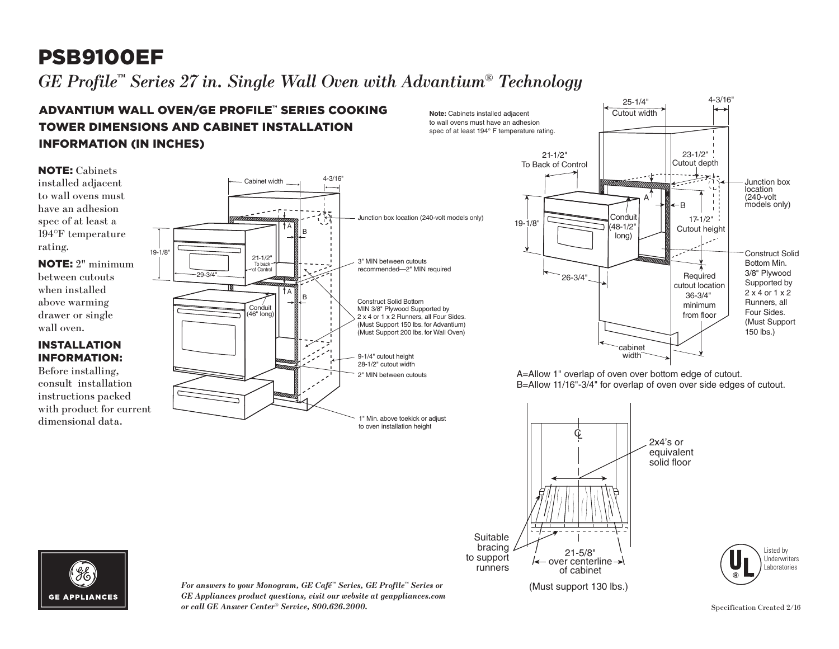# PSB9100EF

#### $G\!E$  Profile™ Series 27 in. Single Wall Oven with Advantium® Technology gue serve **Ir du single frau seen wun Aarandam** Technol  $\Box$   $\Box$   $\Box$ l`ech

#### TALL ATIAN to wall ovens must have an adhesion **EXLEATION** spec of at least 194° F temperature rating. TOWER DIMENSIONS AND CABINET INSTALLATION TIUM ADVANTIUM WALL OVEN/GE PROFILE™ SERIES COOKING INFORMATION (IN INCHES)

NOTE: Cabinets installed adjacent to wall ovens must have an adhesion spec of at least a 194°F temperature rating.

NOTE: 2" minimum between cutouts when installed above warming drawer or single wall oven.

### INSTALLATION INFORMATION:

Before installing, consult installation instructions packed with product for current dimensional data.





A=Allow 1" overlap of oven over bottom edge of cutout. B=Allow 11/16"-3/4" for overlap of oven over side edges of cutout.





*For answers to your Monogram, GE Café™ Series, GE Profile™ Series or GE Appliances product questions, visit our website at geappliances.com or call GE Answer Center® Service, 800.626.2000.*

Specification Created 2/16